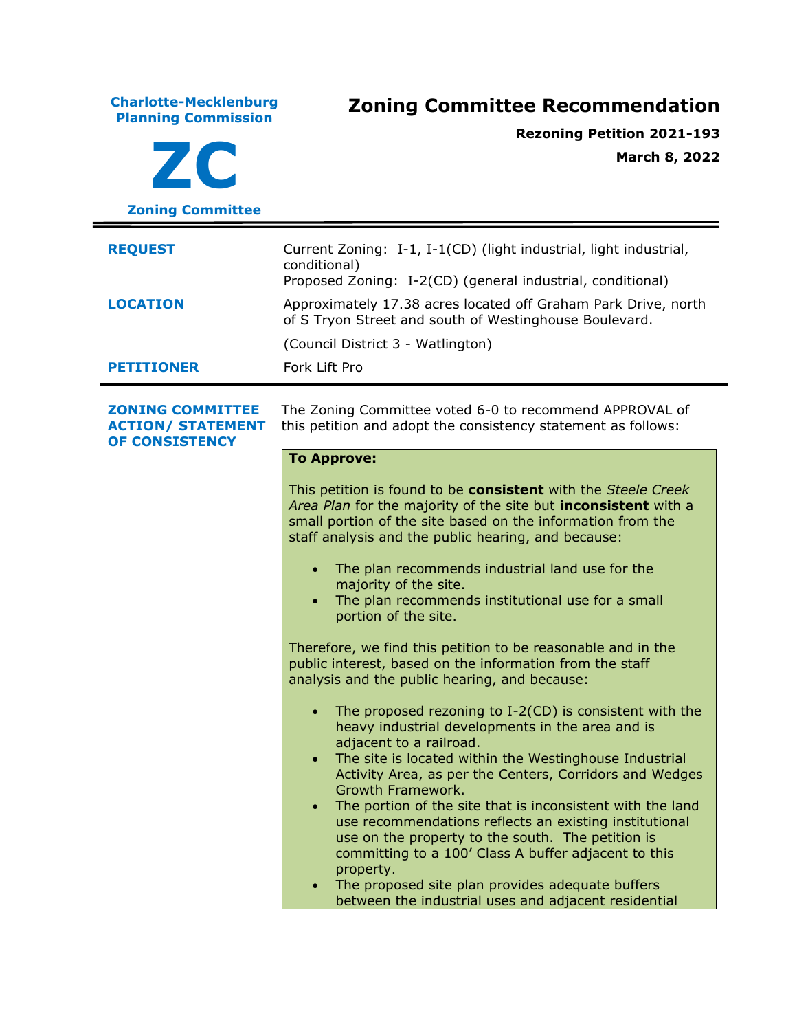**Charlotte-Mecklenburg Planning Commission Zoning Committee Recommendation ZC Zoning Committee Rezoning Petition 2021-193 March 8, 2022 REQUEST** Current Zoning: I-1, I-1(CD) (light industrial, light industrial, conditional) Proposed Zoning: I-2(CD) (general industrial, conditional) **LOCATION** Approximately 17.38 acres located off Graham Park Drive, north of S Tryon Street and south of Westinghouse Boulevard. (Council District 3 - Watlington) **PETITIONER** Fork Lift Pro **ZONING COMMITTEE ACTION/ STATEMENT OF CONSISTENCY** The Zoning Committee voted 6-0 to recommend APPROVAL of this petition and adopt the consistency statement as follows: **To Approve:** This petition is found to be **consistent** with the *Steele Creek Area Plan* for the majority of the site but **inconsistent** with a small portion of the site based on the information from the staff analysis and the public hearing, and because: • The plan recommends industrial land use for the majority of the site. • The plan recommends institutional use for a small portion of the site. Therefore, we find this petition to be reasonable and in the public interest, based on the information from the staff analysis and the public hearing, and because: The proposed rezoning to  $I-2(CD)$  is consistent with the heavy industrial developments in the area and is adjacent to a railroad. • The site is located within the Westinghouse Industrial Activity Area, as per the Centers, Corridors and Wedges Growth Framework. • The portion of the site that is inconsistent with the land use recommendations reflects an existing institutional use on the property to the south. The petition is committing to a 100' Class A buffer adjacent to this property. • The proposed site plan provides adequate buffers between the industrial uses and adjacent residential